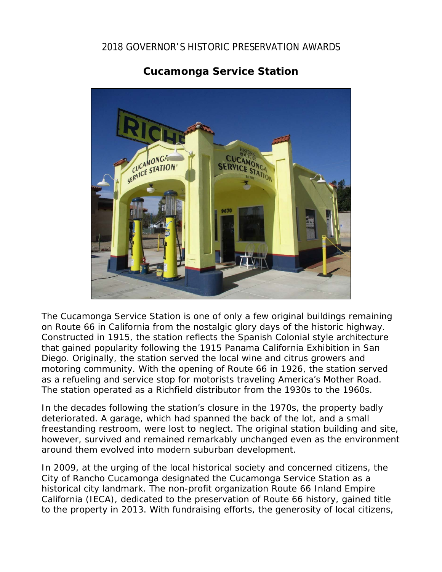## 2018 GOVERNOR'S HISTORIC PRESERVATION AWARDS





The Cucamonga Service Station is one of only a few original buildings remaining on Route 66 in California from the nostalgic glory days of the historic highway. Constructed in 1915, the station reflects the Spanish Colonial style architecture that gained popularity following the 1915 Panama California Exhibition in San Diego. Originally, the station served the local wine and citrus growers and motoring community. With the opening of Route 66 in 1926, the station served as a refueling and service stop for motorists traveling America's Mother Road. The station operated as a Richfield distributor from the 1930s to the 1960s.

In the decades following the station's closure in the 1970s, the property badly deteriorated. A garage, which had spanned the back of the lot, and a small freestanding restroom, were lost to neglect. The original station building and site, however, survived and remained remarkably unchanged even as the environment around them evolved into modern suburban development.

In 2009, at the urging of the local historical society and concerned citizens, the City of Rancho Cucamonga designated the Cucamonga Service Station as a historical city landmark. The non-profit organization Route 66 Inland Empire California (IECA), dedicated to the preservation of Route 66 history, gained title to the property in 2013. With fundraising efforts, the generosity of local citizens,